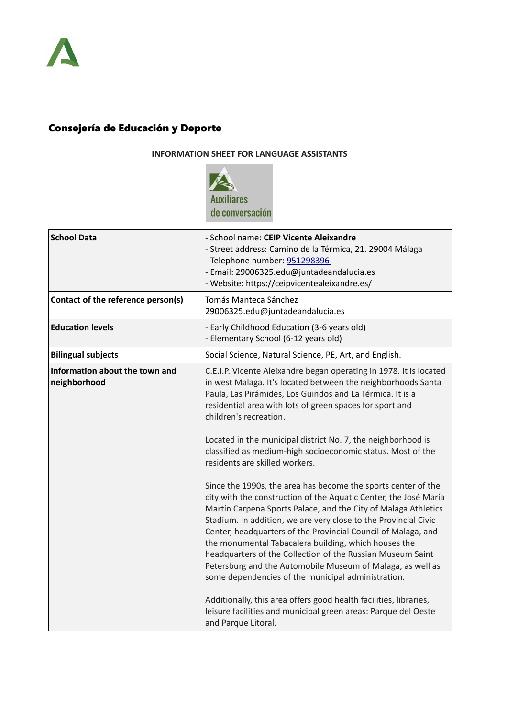

## Consejería de Educación y Deporte

## **INFORMATION SHEET FOR LANGUAGE ASSISTANTS**



| <b>School Data</b>                             | - School name: CEIP Vicente Aleixandre<br>- Street address: Camino de la Térmica, 21. 29004 Málaga<br>- Telephone number: 951298396<br>- Email: 29006325.edu@juntadeandalucia.es<br>- Website: https://ceipvicentealeixandre.es/                                                                                                                                                                                                                                                                                                                                                  |
|------------------------------------------------|-----------------------------------------------------------------------------------------------------------------------------------------------------------------------------------------------------------------------------------------------------------------------------------------------------------------------------------------------------------------------------------------------------------------------------------------------------------------------------------------------------------------------------------------------------------------------------------|
| Contact of the reference person(s)             | Tomás Manteca Sánchez<br>29006325.edu@juntadeandalucia.es                                                                                                                                                                                                                                                                                                                                                                                                                                                                                                                         |
| <b>Education levels</b>                        | - Early Childhood Education (3-6 years old)<br>- Elementary School (6-12 years old)                                                                                                                                                                                                                                                                                                                                                                                                                                                                                               |
| <b>Bilingual subjects</b>                      | Social Science, Natural Science, PE, Art, and English.                                                                                                                                                                                                                                                                                                                                                                                                                                                                                                                            |
| Information about the town and<br>neighborhood | C.E.I.P. Vicente Aleixandre began operating in 1978. It is located<br>in west Malaga. It's located between the neighborhoods Santa<br>Paula, Las Pirámides, Los Guindos and La Térmica. It is a<br>residential area with lots of green spaces for sport and<br>children's recreation.<br>Located in the municipal district No. 7, the neighborhood is                                                                                                                                                                                                                             |
|                                                | classified as medium-high socioeconomic status. Most of the<br>residents are skilled workers.                                                                                                                                                                                                                                                                                                                                                                                                                                                                                     |
|                                                | Since the 1990s, the area has become the sports center of the<br>city with the construction of the Aquatic Center, the José María<br>Martín Carpena Sports Palace, and the City of Malaga Athletics<br>Stadium. In addition, we are very close to the Provincial Civic<br>Center, headquarters of the Provincial Council of Malaga, and<br>the monumental Tabacalera building, which houses the<br>headquarters of the Collection of the Russian Museum Saint<br>Petersburg and the Automobile Museum of Malaga, as well as<br>some dependencies of the municipal administration. |
|                                                | Additionally, this area offers good health facilities, libraries,<br>leisure facilities and municipal green areas: Parque del Oeste<br>and Parque Litoral.                                                                                                                                                                                                                                                                                                                                                                                                                        |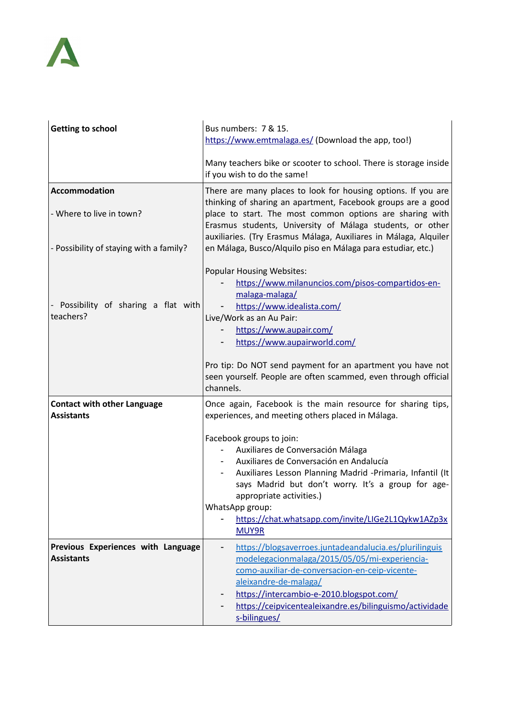

| Getting to school                                       | Bus numbers: 7 & 15.<br>https://www.emtmalaga.es/ (Download the app, too!)                                                                                                                                                                                                                |
|---------------------------------------------------------|-------------------------------------------------------------------------------------------------------------------------------------------------------------------------------------------------------------------------------------------------------------------------------------------|
|                                                         | Many teachers bike or scooter to school. There is storage inside<br>if you wish to do the same!                                                                                                                                                                                           |
| <b>Accommodation</b>                                    | There are many places to look for housing options. If you are                                                                                                                                                                                                                             |
| - Where to live in town?                                | thinking of sharing an apartment, Facebook groups are a good<br>place to start. The most common options are sharing with<br>Erasmus students, University of Málaga students, or other<br>auxiliaries. (Try Erasmus Málaga, Auxiliares in Málaga, Alquiler                                 |
| - Possibility of staying with a family?                 | en Málaga, Busco/Alquilo piso en Málaga para estudiar, etc.)                                                                                                                                                                                                                              |
| - Possibility of sharing a flat with                    | <b>Popular Housing Websites:</b><br>https://www.milanuncios.com/pisos-compartidos-en-<br>malaga-malaga/<br>https://www.idealista.com/                                                                                                                                                     |
| teachers?                                               | Live/Work as an Au Pair:                                                                                                                                                                                                                                                                  |
|                                                         | https://www.aupair.com/                                                                                                                                                                                                                                                                   |
|                                                         | https://www.aupairworld.com/                                                                                                                                                                                                                                                              |
|                                                         | Pro tip: Do NOT send payment for an apartment you have not<br>seen yourself. People are often scammed, even through official<br>channels.                                                                                                                                                 |
| <b>Contact with other Language</b><br><b>Assistants</b> | Once again, Facebook is the main resource for sharing tips,<br>experiences, and meeting others placed in Málaga.                                                                                                                                                                          |
|                                                         | Facebook groups to join:<br>Auxiliares de Conversación Málaga<br>Auxiliares de Conversación en Andalucía<br>Auxiliares Lesson Planning Madrid -Primaria, Infantil (It<br>says Madrid but don't worry. It's a group for age-<br>appropriate activities.)<br>WhatsApp group:                |
|                                                         | https://chat.whatsapp.com/invite/LIGe2L1Qykw1AZp3x<br>MUY9R                                                                                                                                                                                                                               |
| Previous Experiences with Language<br><b>Assistants</b> | https://blogsaverroes.juntadeandalucia.es/plurilinguis<br>modelegacionmalaga/2015/05/05/mi-experiencia-<br>como-auxiliar-de-conversacion-en-ceip-vicente-<br>aleixandre-de-malaga/<br>https://intercambio-e-2010.blogspot.com/<br>https://ceipvicentealeixandre.es/bilinguismo/actividade |
|                                                         | s-bilingues/                                                                                                                                                                                                                                                                              |